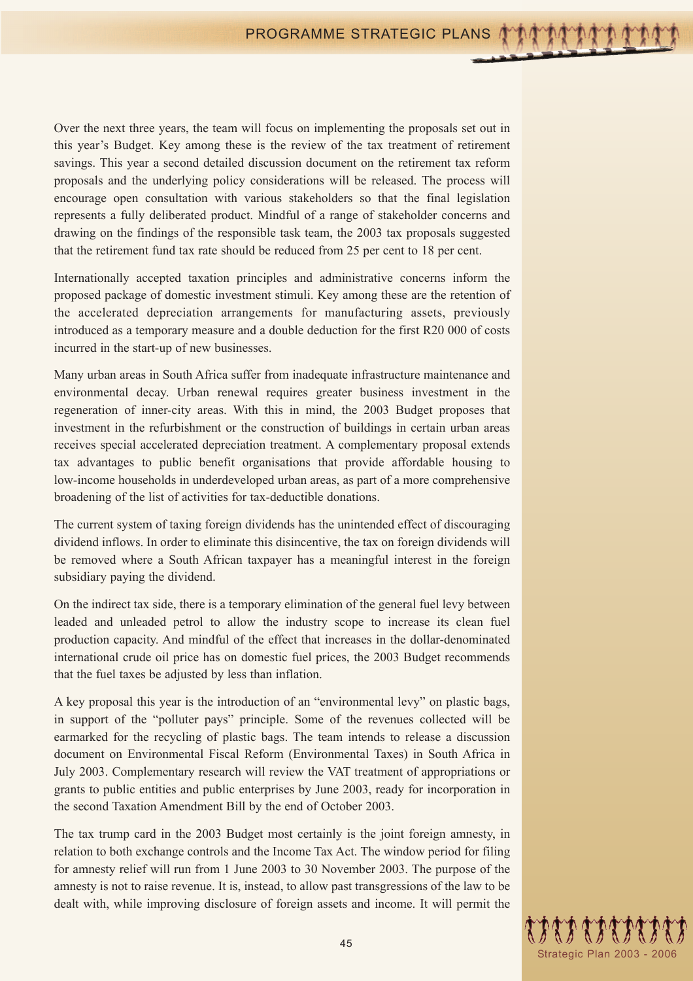Over the next three years, the team will focus on implementing the proposals set out in this year's Budget. Key among these is the review of the tax treatment of retirement savings. This year a second detailed discussion document on the retirement tax reform proposals and the underlying policy considerations will be released. The process will encourage open consultation with various stakeholders so that the final legislation represents a fully deliberated product. Mindful of a range of stakeholder concerns and drawing on the findings of the responsible task team, the 2003 tax proposals suggested that the retirement fund tax rate should be reduced from 25 per cent to 18 per cent.

Internationally accepted taxation principles and administrative concerns inform the proposed package of domestic investment stimuli. Key among these are the retention of the accelerated depreciation arrangements for manufacturing assets, previously introduced as a temporary measure and a double deduction for the first R20 000 of costs incurred in the start-up of new businesses.

Many urban areas in South Africa suffer from inadequate infrastructure maintenance and environmental decay. Urban renewal requires greater business investment in the regeneration of inner-city areas. With this in mind, the 2003 Budget proposes that investment in the refurbishment or the construction of buildings in certain urban areas receives special accelerated depreciation treatment. A complementary proposal extends tax advantages to public benefit organisations that provide affordable housing to low-income households in underdeveloped urban areas, as part of a more comprehensive broadening of the list of activities for tax-deductible donations.

The current system of taxing foreign dividends has the unintended effect of discouraging dividend inflows. In order to eliminate this disincentive, the tax on foreign dividends will be removed where a South African taxpayer has a meaningful interest in the foreign subsidiary paying the dividend.

On the indirect tax side, there is a temporary elimination of the general fuel levy between leaded and unleaded petrol to allow the industry scope to increase its clean fuel production capacity. And mindful of the effect that increases in the dollar-denominated international crude oil price has on domestic fuel prices, the 2003 Budget recommends that the fuel taxes be adjusted by less than inflation.

A key proposal this year is the introduction of an "environmental levy" on plastic bags, in support of the "polluter pays" principle. Some of the revenues collected will be earmarked for the recycling of plastic bags. The team intends to release a discussion document on Environmental Fiscal Reform (Environmental Taxes) in South Africa in July 2003. Complementary research will review the VAT treatment of appropriations or grants to public entities and public enterprises by June 2003, ready for incorporation in the second Taxation Amendment Bill by the end of October 2003.

The tax trump card in the 2003 Budget most certainly is the joint foreign amnesty, in relation to both exchange controls and the Income Tax Act. The window period for filing for amnesty relief will run from 1 June 2003 to 30 November 2003. The purpose of the amnesty is not to raise revenue. It is, instead, to allow past transgressions of the law to be dealt with, while improving disclosure of foreign assets and income. It will permit the

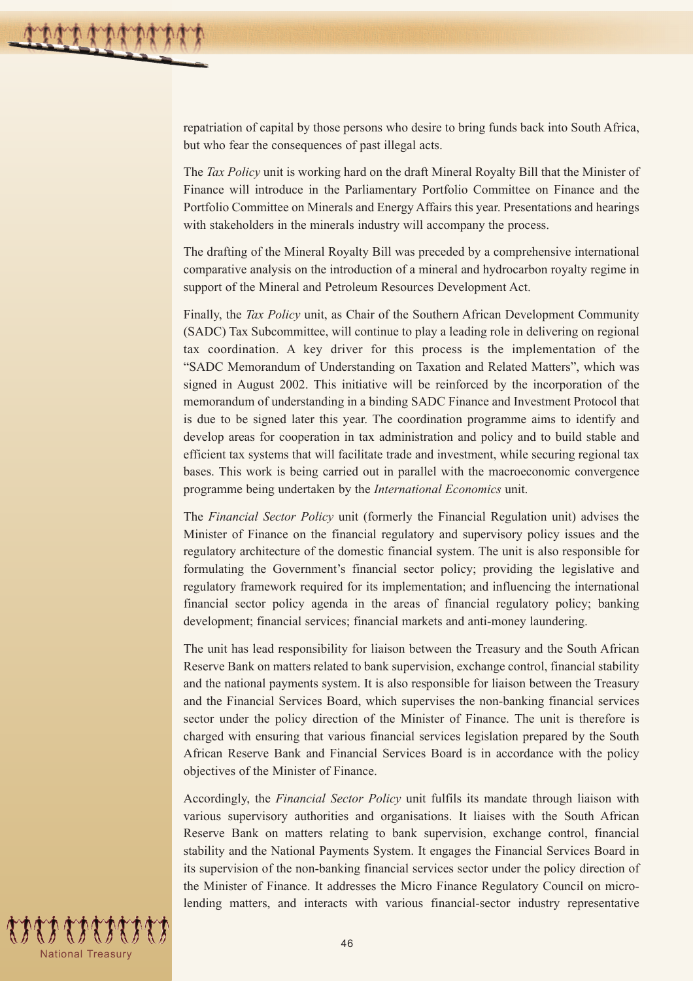repatriation of capital by those persons who desire to bring funds back into South Africa, but who fear the consequences of past illegal acts.

The *Tax Policy* unit is working hard on the draft Mineral Royalty Bill that the Minister of Finance will introduce in the Parliamentary Portfolio Committee on Finance and the Portfolio Committee on Minerals and Energy Affairs this year. Presentations and hearings with stakeholders in the minerals industry will accompany the process.

The drafting of the Mineral Royalty Bill was preceded by a comprehensive international comparative analysis on the introduction of a mineral and hydrocarbon royalty regime in support of the Mineral and Petroleum Resources Development Act.

Finally, the *Tax Policy* unit, as Chair of the Southern African Development Community (SADC) Tax Subcommittee, will continue to play a leading role in delivering on regional tax coordination. A key driver for this process is the implementation of the "SADC Memorandum of Understanding on Taxation and Related Matters", which was signed in August 2002. This initiative will be reinforced by the incorporation of the memorandum of understanding in a binding SADC Finance and Investment Protocol that is due to be signed later this year. The coordination programme aims to identify and develop areas for cooperation in tax administration and policy and to build stable and efficient tax systems that will facilitate trade and investment, while securing regional tax bases. This work is being carried out in parallel with the macroeconomic convergence programme being undertaken by the *International Economics* unit.

The *Financial Sector Policy* unit (formerly the Financial Regulation unit) advises the Minister of Finance on the financial regulatory and supervisory policy issues and the regulatory architecture of the domestic financial system. The unit is also responsible for formulating the Government's financial sector policy; providing the legislative and regulatory framework required for its implementation; and influencing the international financial sector policy agenda in the areas of financial regulatory policy; banking development; financial services; financial markets and anti-money laundering.

The unit has lead responsibility for liaison between the Treasury and the South African Reserve Bank on matters related to bank supervision, exchange control, financial stability and the national payments system. It is also responsible for liaison between the Treasury and the Financial Services Board, which supervises the non-banking financial services sector under the policy direction of the Minister of Finance. The unit is therefore is charged with ensuring that various financial services legislation prepared by the South African Reserve Bank and Financial Services Board is in accordance with the policy objectives of the Minister of Finance.

Accordingly, the *Financial Sector Policy* unit fulfils its mandate through liaison with various supervisory authorities and organisations. It liaises with the South African Reserve Bank on matters relating to bank supervision, exchange control, financial stability and the National Payments System. It engages the Financial Services Board in its supervision of the non-banking financial services sector under the policy direction of the Minister of Finance. It addresses the Micro Finance Regulatory Council on microlending matters, and interacts with various financial-sector industry representative

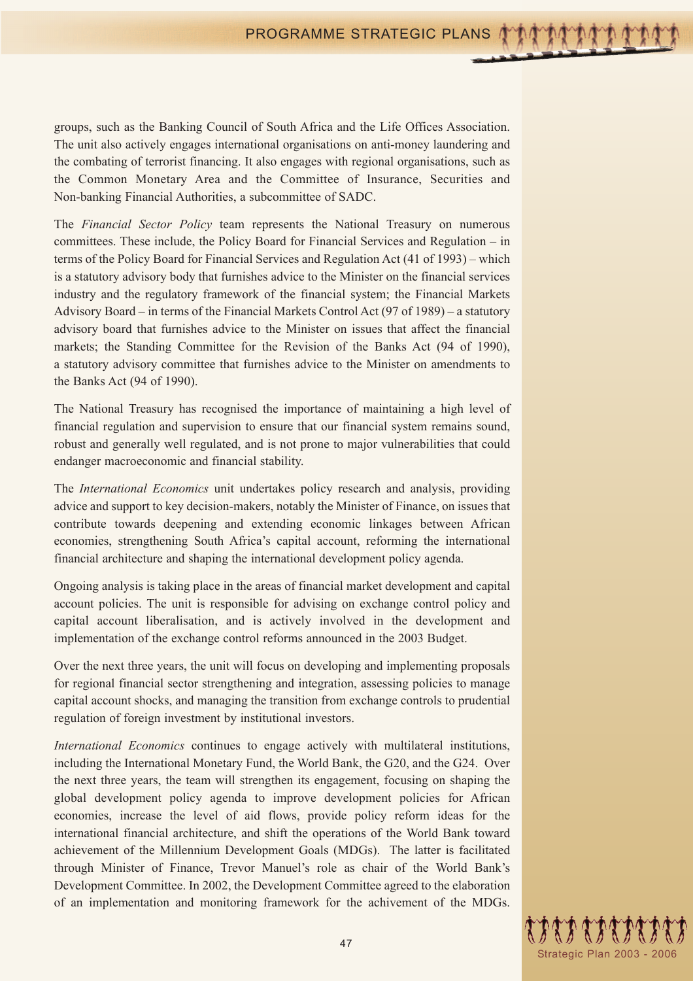groups, such as the Banking Council of South Africa and the Life Offices Association. The unit also actively engages international organisations on anti-money laundering and the combating of terrorist financing. It also engages with regional organisations, such as the Common Monetary Area and the Committee of Insurance, Securities and Non-banking Financial Authorities, a subcommittee of SADC.

The *Financial Sector Policy* team represents the National Treasury on numerous committees. These include, the Policy Board for Financial Services and Regulation – in terms of the Policy Board for Financial Services and Regulation Act (41 of 1993) – which is a statutory advisory body that furnishes advice to the Minister on the financial services industry and the regulatory framework of the financial system; the Financial Markets Advisory Board – in terms of the Financial Markets Control Act (97 of 1989) – a statutory advisory board that furnishes advice to the Minister on issues that affect the financial markets; the Standing Committee for the Revision of the Banks Act (94 of 1990), a statutory advisory committee that furnishes advice to the Minister on amendments to the Banks Act (94 of 1990).

The National Treasury has recognised the importance of maintaining a high level of financial regulation and supervision to ensure that our financial system remains sound, robust and generally well regulated, and is not prone to major vulnerabilities that could endanger macroeconomic and financial stability.

The *International Economics* unit undertakes policy research and analysis, providing advice and support to key decision-makers, notably the Minister of Finance, on issues that contribute towards deepening and extending economic linkages between African economies, strengthening South Africa's capital account, reforming the international financial architecture and shaping the international development policy agenda.

Ongoing analysis is taking place in the areas of financial market development and capital account policies. The unit is responsible for advising on exchange control policy and capital account liberalisation, and is actively involved in the development and implementation of the exchange control reforms announced in the 2003 Budget.

Over the next three years, the unit will focus on developing and implementing proposals for regional financial sector strengthening and integration, assessing policies to manage capital account shocks, and managing the transition from exchange controls to prudential regulation of foreign investment by institutional investors.

*International Economics* continues to engage actively with multilateral institutions, including the International Monetary Fund, the World Bank, the G20, and the G24. Over the next three years, the team will strengthen its engagement, focusing on shaping the global development policy agenda to improve development policies for African economies, increase the level of aid flows, provide policy reform ideas for the international financial architecture, and shift the operations of the World Bank toward achievement of the Millennium Development Goals (MDGs). The latter is facilitated through Minister of Finance, Trevor Manuel's role as chair of the World Bank's Development Committee. In 2002, the Development Committee agreed to the elaboration of an implementation and monitoring framework for the achivement of the MDGs.

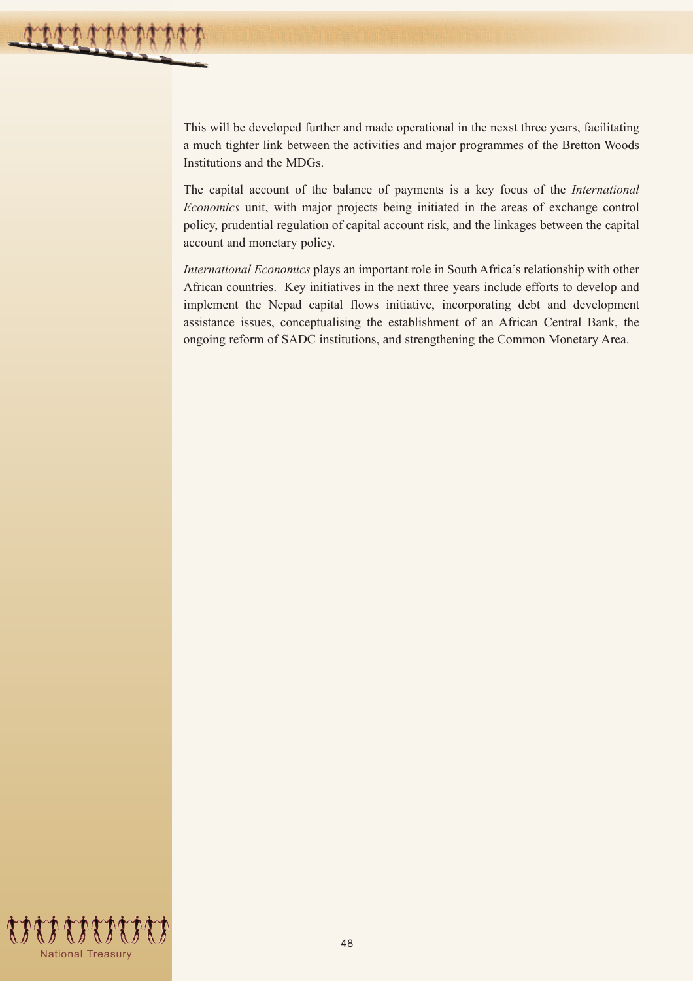This will be developed further and made operational in the nexst three years, facilitating a much tighter link between the activities and major programmes of the Bretton Woods Institutions and the MDGs.

The capital account of the balance of payments is a key focus of the *International Economics* unit, with major projects being initiated in the areas of exchange control policy, prudential regulation of capital account risk, and the linkages between the capital account and monetary policy.

*International Economics* plays an important role in South Africa's relationship with other African countries. Key initiatives in the next three years include efforts to develop and implement the Nepad capital flows initiative, incorporating debt and development assistance issues, conceptualising the establishment of an African Central Bank, the ongoing reform of SADC institutions, and strengthening the Common Monetary Area.

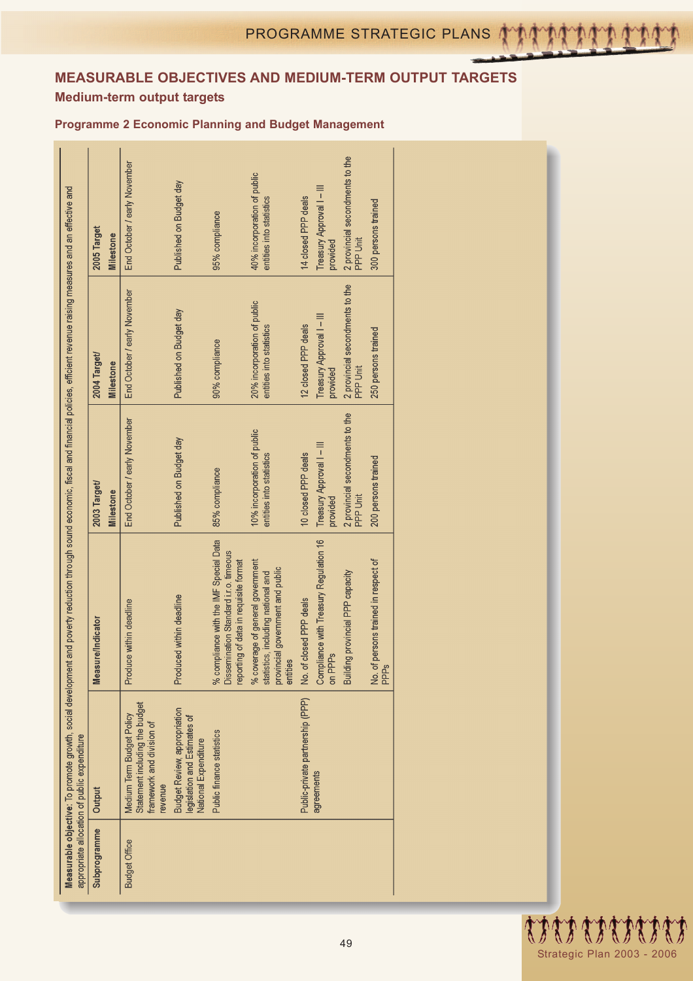## **MEASURABLE OBJECTIVES AND MEDIUM-TERM OUTPUT TARGETS Medium-term output targets**

## **Programme 2 Economic Planning and Budget Management**

|                      | appropriate allocation of public expenditure                                                        | Measurable objective: To promote growth, social development and poverty reduction through sound economic, fiscal and financial policies, efficient revenue raising measures and an effective and |                                                         |                                                         |                                                         |
|----------------------|-----------------------------------------------------------------------------------------------------|--------------------------------------------------------------------------------------------------------------------------------------------------------------------------------------------------|---------------------------------------------------------|---------------------------------------------------------|---------------------------------------------------------|
| Subprogramme         | Output                                                                                              | Measure/Indicator                                                                                                                                                                                | 2003 Target/                                            | 2004 Target/                                            | 2005 Target                                             |
|                      |                                                                                                     |                                                                                                                                                                                                  | Milestone                                               | Milestone                                               | <b>Milestone</b>                                        |
| <b>Budget Office</b> | Statement including the budget<br>Medium Term Budget Policy<br>framework and division of<br>revenue | Produce within deadline                                                                                                                                                                          | End October / early November                            | End October / early November                            | End October / early November                            |
|                      | <b>Budget Review, appropriation</b><br>legislation and Estimates of<br>National Expenditure         | Produced within deadline                                                                                                                                                                         | Published on Budget day                                 | Published on Budget day                                 | Published on Budget day                                 |
|                      | Public finance statistics                                                                           | % compliance with the IMF Special Data<br>Dissemination Standard i.r.o. timeous<br>reporting of data in requisite format                                                                         | 85% compliance                                          | 90% compliance                                          | 95% compliance                                          |
|                      |                                                                                                     | % coverage of general government<br>provincial government and public<br>statistics, including national and<br>entities                                                                           | 10% incorporation of public<br>entities into statistics | 20% incorporation of public<br>entities into statistics | 40% incorporation of public<br>entities into statistics |
|                      | Public-private partnership (PPP)                                                                    | No. of closed PPP deals                                                                                                                                                                          | 10 closed PPP deals                                     | 12 closed PPP deals                                     | 14 closed PPP deals                                     |
|                      | agreements                                                                                          | Compliance with Treasury Regulation 16<br>on PPPs                                                                                                                                                | Treasury Approval I - III<br>provided                   | Treasury Approval I - III<br>provided                   | Treasury Approval I - III<br>provided                   |
|                      |                                                                                                     | Building provincial PPP capacity                                                                                                                                                                 | 2 provincial secondments to the<br>PPP Unit             | 2 provincial secondments to the<br>PPP Unit             | 2 provincial secondments to the<br>PPP Unit             |
|                      |                                                                                                     | No. of persons trained in respect of<br><b>PPPs</b>                                                                                                                                              | 200 persons trained                                     | 250 persons trained                                     | 300 persons trained                                     |
|                      |                                                                                                     |                                                                                                                                                                                                  |                                                         |                                                         |                                                         |

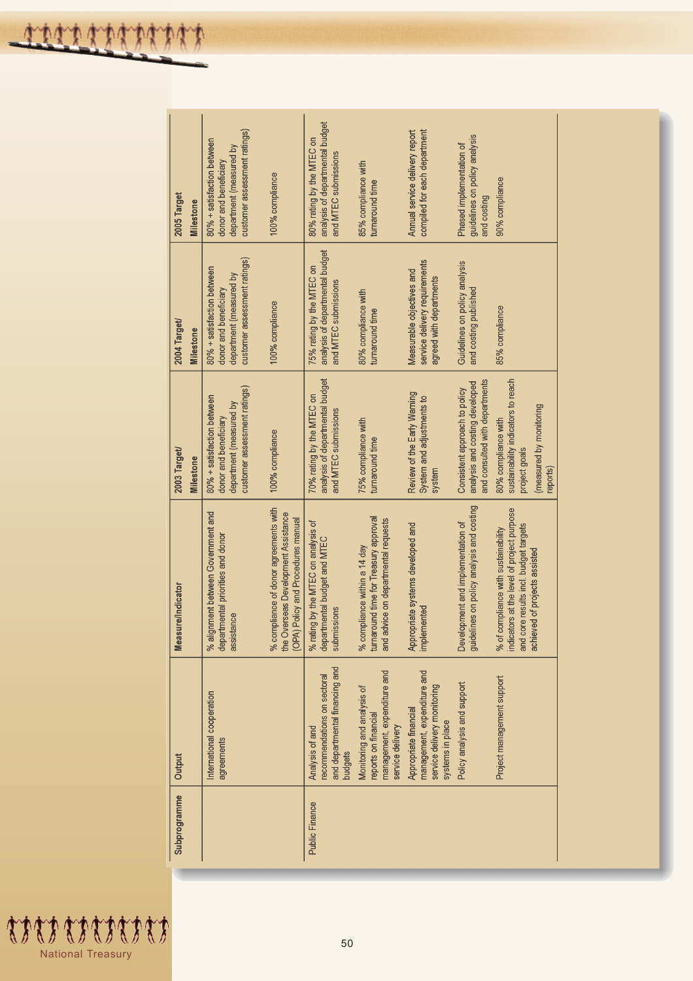$\mathbf{r}$ 

 $\mathbf{I}$ 

 $\mathbf{I}$ 

 $\mathbf{I}$ 

| 2005 Target<br>Milestone         | customer assessment ratings)<br>80% + satisfaction between<br>department (measured by<br>donor and beneficiary<br>100% compliance |                                                                           | analysis of departmental budget<br>80% rating by the MTEC on<br>and MTEC submissions       | 85% compliance with<br>turnaround time                                                                       | compiled for each department<br>Annual service delivery report                                          | guidelines on policy analysis<br>Phased implementation of<br>and costing                          | 90% compliance                                                                                                                                                  |
|----------------------------------|-----------------------------------------------------------------------------------------------------------------------------------|---------------------------------------------------------------------------|--------------------------------------------------------------------------------------------|--------------------------------------------------------------------------------------------------------------|---------------------------------------------------------------------------------------------------------|---------------------------------------------------------------------------------------------------|-----------------------------------------------------------------------------------------------------------------------------------------------------------------|
| 2004 Target/<br>Milestone        | customer assessment ratings)<br>80% + satisfaction between<br>department (measured by<br>donor and beneficiary<br>100% compliance |                                                                           | analysis of departmental budget<br>75% rating by the MTEC on<br>and MTEC submissions       | 80% compliance with<br>turnaround time                                                                       | service delivery requirements<br>Measurable objectives and<br>agreed with departments                   | Guidelines on policy analysis<br>and costing published                                            | 85% compliance                                                                                                                                                  |
| 2003 Target/<br><b>Milestone</b> | customer assessment ratings)<br>80% + satisfaction between<br>department (measured by<br>donor and beneficiary<br>100% compliance |                                                                           | analysis of departmental budget<br>70% rating by the MTEC on<br>and MTEC submissions       | 75% compliance with<br>turnaround time                                                                       | Review of the Early Warning<br>System and adjustments to<br>system                                      | and consulted with departments<br>analysis and costing developed<br>Consistent approach to policy | sustainability indicators to reach<br>(measured by monitoring<br>80% compliance with<br>project goals<br>eports)                                                |
| <b>Measure/Indicator</b>         | % compliance of donor agreements with<br>% alignment between Government and<br>departmental priorities and donor<br>assistance    | the Overseas Development Assistance<br>(OPA) Policy and Procedures manual | % rating by the MTEC on analysis of<br>departmental budget and MTEC<br>submissions         | turnaround time for Treasury approval<br>and advice on departmental requests<br>% compliance within a 14 day | Appropriate systems developed and<br>implemented                                                        | guidelines on policy analysis and costing<br>Development and implementation of                    | indicators at the level of project purpose<br>and core results incl. budget targets<br>of compliance with sustainability<br>achieved of projects assisted<br>వ్ |
| Output                           | International cooperation<br>agreements                                                                                           |                                                                           | and departmental financing and<br>ecommendations on sectoral<br>Analysis of and<br>budgets | management, expenditure and<br>Monitoring and analysis of<br>reports on financial<br>service delivery        | management, expenditure and<br>service delivery monitoring<br>Appropriate financial<br>systems in place | Policy analysis and support                                                                       | Project management support                                                                                                                                      |
| Subprogramme                     |                                                                                                                                   |                                                                           | <b>Public Finance</b>                                                                      |                                                                                                              |                                                                                                         |                                                                                                   |                                                                                                                                                                 |

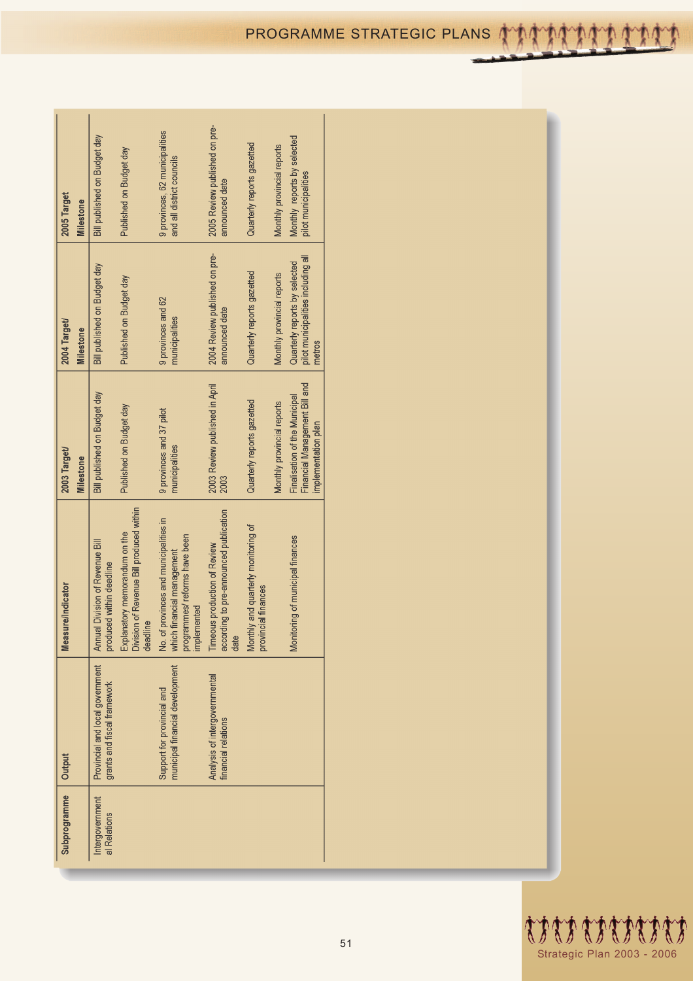| Subprogramme                    | Output                                                         | <b>Measure/Indicator</b>                                                                                            | 2003 Target/                                                                          | 2004 Target/                                                                  | 2005 Target                                                 |
|---------------------------------|----------------------------------------------------------------|---------------------------------------------------------------------------------------------------------------------|---------------------------------------------------------------------------------------|-------------------------------------------------------------------------------|-------------------------------------------------------------|
|                                 |                                                                |                                                                                                                     | Milestone                                                                             | Milestone                                                                     | <b>Milestone</b>                                            |
| Intergovernment<br>al Relations | Provincial and local government<br>grants and fiscal framework | Annual Division of Revenue Bill<br>produced within deadline                                                         | Bill published on Budget day                                                          | Bill published on Budget day                                                  | Bill published on Budget day                                |
|                                 |                                                                | Division of Revenue Bill produced within<br>Explanatory memorandum on the<br>deadline                               | Published on Budget day                                                               | Published on Budget day                                                       | Published on Budget day                                     |
|                                 | municipal financial development<br>Support for provincial and  | No. of provinces and municipalities in<br>programmes/reforms have been<br>which financial management<br>implemented | 9 provinces and 37 pilot<br>municipalities                                            | 9 provinces and 62<br>municipalities                                          | 9 provinces, 62 municipalities<br>and all district councils |
|                                 | Analysis of intergovernmental<br>financial relations           | according to pre-announced publication<br>Timeous production of Review<br>date                                      | 2003 Review published in April<br>2003                                                | 2004 Review published on pre-<br>announced date                               | 2005 Review published on pre-<br>announced date             |
|                                 |                                                                | Monthly and quarterly monitoring of<br>provincial finances                                                          | Quarterly reports gazetted                                                            | Quarterly reports gazetted                                                    | Quarterly reports gazetted                                  |
|                                 |                                                                |                                                                                                                     | Monthly provincial reports                                                            | Monthly provincial reports                                                    | Monthly provincial reports                                  |
|                                 |                                                                | Monitoring of municipal finances                                                                                    | Financial Management Bill and<br>Finalisation of the Municipal<br>implementation plan | pilot municipalities including all<br>Quarterly reports by selected<br>metros | Monthly reports by selected<br>pilot municipalities         |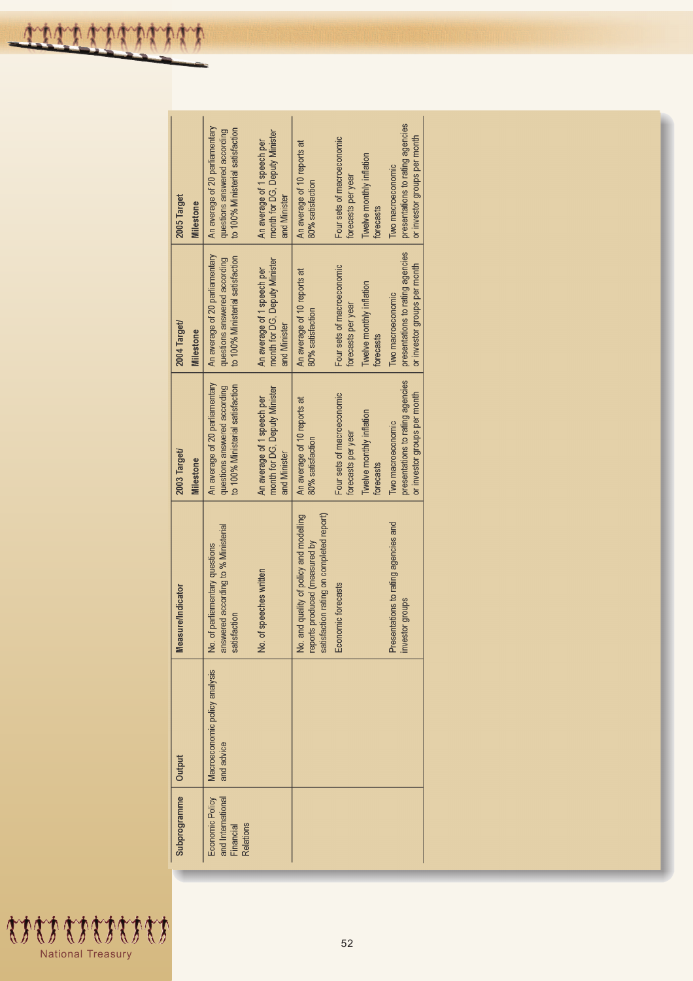$\overline{1}$ 

| 2005 Target<br>2004 Target/<br>2003 Target/ | Milestone<br>Milestone | An average of 20 parliamentary<br>to 100% Ministerial satisfaction<br>questions answered according<br>An average of 20 parliamentary<br>to 100% Ministerial satisfaction<br>questions answered according<br>An average of 20 parliamentary<br>to 100% Ministerial satisfaction<br>questions answered according | month for DG, Deputy Minister<br>An average of 1 speech per<br>and Minister<br>month for DG, Deputy Minister<br>An average of 1 speech per<br>and Minister<br>month for DG, Deputy Minister<br>An average of 1 speech per<br>and Minister | An average of 10 reports at<br>80% satisfaction<br>An average of 10 reports at<br>80% satisfaction<br>An average of 10 reports at<br>80% satisfaction | Four sets of macroeconomic<br>Twelve monthly inflation<br>forecasts per year<br>forecasts<br>Four sets of macroeconomic<br>Twelve monthly inflation<br>forecasts per year<br>forecasts<br>Four sets of macroeconomic<br>Twelve monthly inflation<br>forecasts per year | presentations to rating agencies<br>or investor groups per month<br>Two macroeconomic<br>presentations to rating agencies<br>or investor groups per month<br>Two macroeconomic<br>presentations to rating agencies<br>or investor groups per month<br>Two macroeconomic |
|---------------------------------------------|------------------------|----------------------------------------------------------------------------------------------------------------------------------------------------------------------------------------------------------------------------------------------------------------------------------------------------------------|-------------------------------------------------------------------------------------------------------------------------------------------------------------------------------------------------------------------------------------------|-------------------------------------------------------------------------------------------------------------------------------------------------------|------------------------------------------------------------------------------------------------------------------------------------------------------------------------------------------------------------------------------------------------------------------------|-------------------------------------------------------------------------------------------------------------------------------------------------------------------------------------------------------------------------------------------------------------------------|
| <b>Reasure/Indicator</b>                    | Milestone              | answered according to % Ministerial<br>No. of parliamentary questions<br>satisfaction                                                                                                                                                                                                                          | No. of speeches written                                                                                                                                                                                                                   | satisfaction rating on completed report)<br>Vo. and quality of policy and modelling<br>eports produced (measured by                                   | forecasts<br>Economic forecasts                                                                                                                                                                                                                                        | Presentations to rating agencies and<br>nvestor groups                                                                                                                                                                                                                  |
| Output                                      |                        | Macroeconomic policy analysis<br>and advice                                                                                                                                                                                                                                                                    |                                                                                                                                                                                                                                           |                                                                                                                                                       |                                                                                                                                                                                                                                                                        |                                                                                                                                                                                                                                                                         |
| Subprogramme                                |                        | Economic Policy<br>and International<br>Financial<br>Relations                                                                                                                                                                                                                                                 |                                                                                                                                                                                                                                           |                                                                                                                                                       |                                                                                                                                                                                                                                                                        |                                                                                                                                                                                                                                                                         |

 $\overline{1}$ 

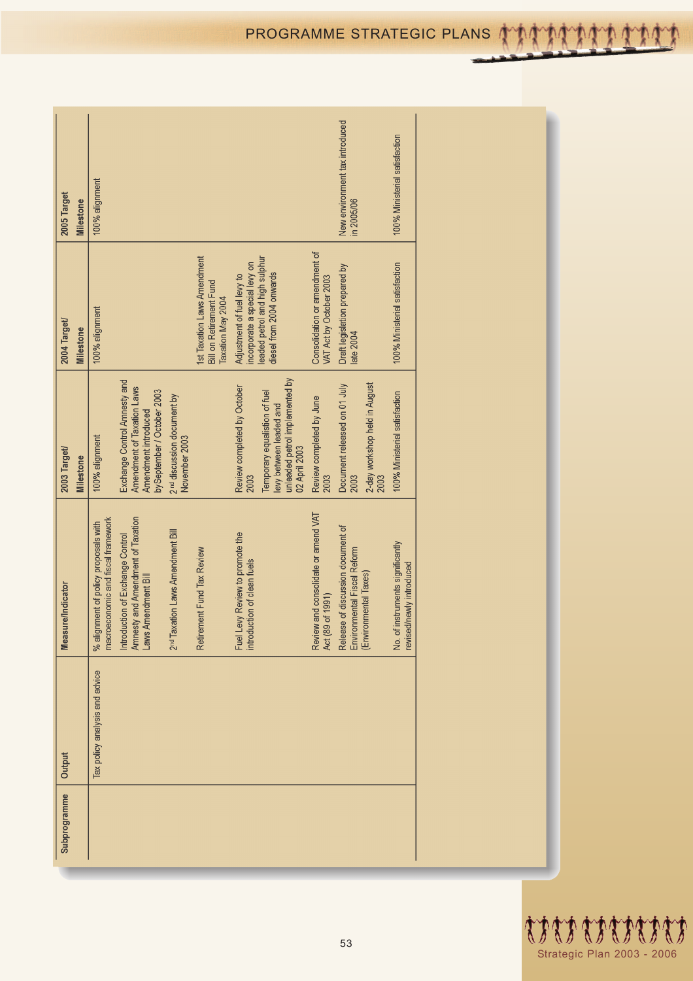| PROGRAMME STRATEGIC PLANS ATAMAMA |  |  |  |  |  |  |
|-----------------------------------|--|--|--|--|--|--|
|                                   |  |  |  |  |  |  |

| 2005 Target<br>Milestone         | 100% alignment                                                             |                                                                                                                  |                                                         |                                                                                    |                                                                |                                                                                                             |                                                          | New environment tax introduced<br>in 2005/06                                              | 100% Ministerial satisfaction                                      |
|----------------------------------|----------------------------------------------------------------------------|------------------------------------------------------------------------------------------------------------------|---------------------------------------------------------|------------------------------------------------------------------------------------|----------------------------------------------------------------|-------------------------------------------------------------------------------------------------------------|----------------------------------------------------------|-------------------------------------------------------------------------------------------|--------------------------------------------------------------------|
| 2004 Target/<br><b>Milestone</b> | 100% alignment                                                             |                                                                                                                  |                                                         | 1st Taxation Laws Amendment<br><b>Bill on Retirement Fund</b><br>Taxation May 2004 | incorporate a special levy on<br>Adjustment of fuel levy to    | leaded petrol and high sulphur<br>diesel from 2004 onwards                                                  | Consolidation or amendment of<br>VAT Act by October 2003 | Draft legislation prepared by<br>late 2004                                                | 100% Ministerial satisfaction                                      |
| 2003 Target/<br>Milestone        | 100% alignment                                                             | Exchange Control Amnesty and<br>Amendment of Taxation Laws<br>bySeptember / October 2003<br>Amendment introduced | 2 <sup>nd</sup> discussion document by<br>November 2003 |                                                                                    | Review completed by October<br>2003                            | unleaded petrol implemented by<br>Temporary equalistion of fuel<br>levy between leaded and<br>02 April 2003 | Review completed by June<br>2003                         | 2-day workshop held in August<br>Document released on 01 July<br>2003<br>2003             | 100% Ministerial satisfaction                                      |
| Measure/Indicator                | macroeconomic and fiscal framework<br>% alignment of policy proposals with | Introduction of Exchange Control<br>Amnesty and Amendment of Taxation<br>Laws Amendment Bill                     | 2 <sup>nd</sup> Taxation Laws Amendment Bill            | Retirement Fund Tax Review                                                         | Fuel Levy Review to promote the<br>introduction of clean fuels |                                                                                                             | Review and consolidate or amend VAT<br>Act (89 of 1991)  | Release of discussion document of<br>Environmental Fiscal Reform<br>(Environmental Taxes) | of instruments significantly<br>revised/newly introduced<br>,<br>2 |
| Output                           | Tax policy analysis and advice                                             |                                                                                                                  |                                                         |                                                                                    |                                                                |                                                                                                             |                                                          |                                                                                           |                                                                    |
| Subprogramme                     |                                                                            |                                                                                                                  |                                                         |                                                                                    |                                                                |                                                                                                             |                                                          |                                                                                           |                                                                    |



Ý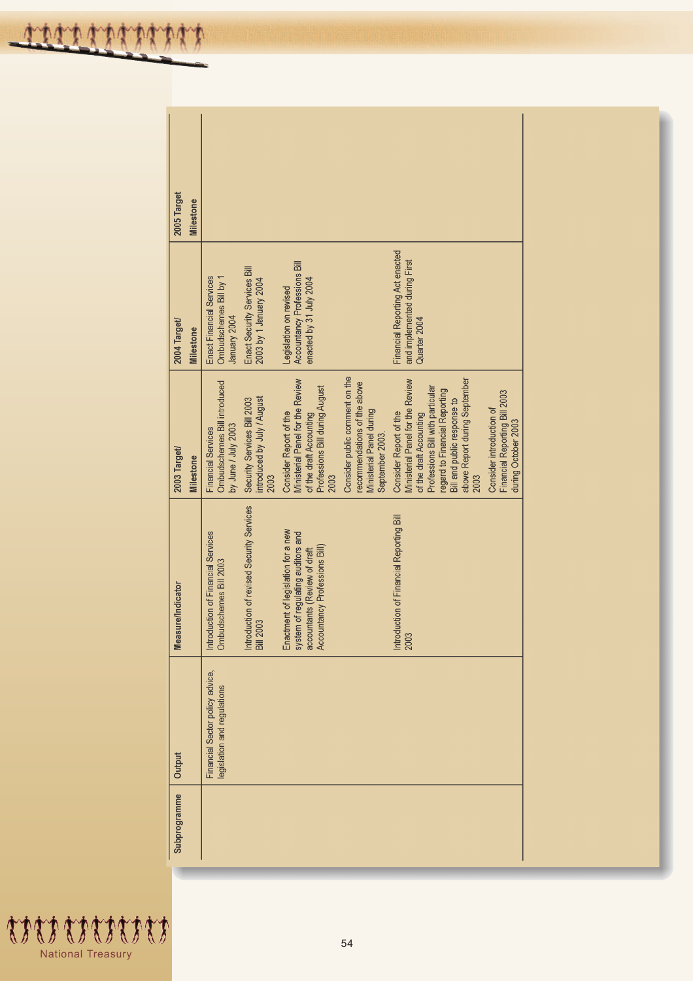| 2005 Target<br>Milestone         |                                                                                  |                                                                    |                                                                                                                                          |                                                                                                              |                                                                                                                                                                                                                                    |                                                                                  |
|----------------------------------|----------------------------------------------------------------------------------|--------------------------------------------------------------------|------------------------------------------------------------------------------------------------------------------------------------------|--------------------------------------------------------------------------------------------------------------|------------------------------------------------------------------------------------------------------------------------------------------------------------------------------------------------------------------------------------|----------------------------------------------------------------------------------|
| 2004 Target/<br><b>Milestone</b> | Ombudschemes Bill by 1<br>Enact Financial Services<br>January 2004               | Enact Security Services Bill<br>2003 by 1 January 2004             | Accountancy Professions Bill<br>enacted by 31 July 2004<br>Legislation on revised                                                        |                                                                                                              | Financial Reporting Act enacted<br>and implemented during First<br>Quarter 2004                                                                                                                                                    |                                                                                  |
| 2003 Target/<br>Milestone        | Ombudschemes Bill introduced<br>by June / July 2003<br><b>Financial Services</b> | introduced by July / August<br>Security Services Bill 2003<br>2003 | Ministerial Panel for the Review<br>Professions Bill during August<br>Consider Report of the<br>of the draft Accounting<br>2003          | Consider public comment on the<br>recommendations of the above<br>Ministerial Panel during<br>September 2003 | above Report during September<br>Ministerial Panel for the Review<br>Professions Bill with particular<br>regard to Financial Reporting<br>Bill and public response to<br>Consider Report of the<br>of the draft Accounting<br>2003 | Financial Reporting Bill 2003<br>Consider introduction of<br>during October 2003 |
| <b>Measure/Indicator</b>         | Introduction of Financial Services<br>Ombudschemes Bill 2003                     | Introduction of revised Security Services<br>2003<br><b>Bill</b>   | Enactment of legislation for a new<br>system of regulating auditors and<br>accountants (Review of draft<br>Accountancy Professions Bill) |                                                                                                              | Introduction of Financial Reporting Bill<br>2003                                                                                                                                                                                   |                                                                                  |
| Output                           | Financial Sector policy advice,<br>legislation and regulations                   |                                                                    |                                                                                                                                          |                                                                                                              |                                                                                                                                                                                                                                    |                                                                                  |
| Subprogramme                     |                                                                                  |                                                                    |                                                                                                                                          |                                                                                                              |                                                                                                                                                                                                                                    |                                                                                  |